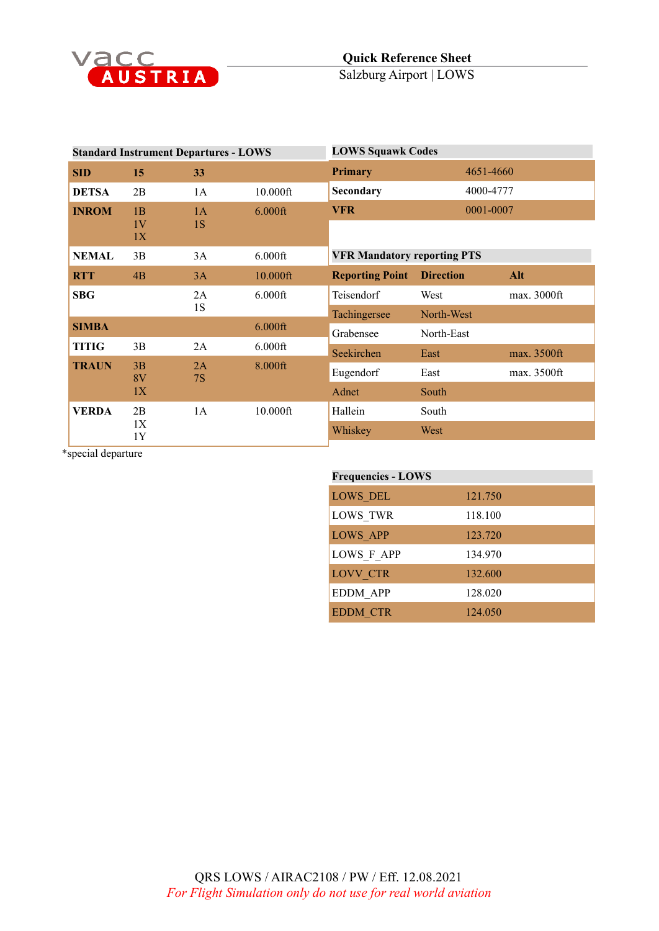

| <b>Standard Instrument Departures - LOWS</b> |                |                 | <b>LOWS Squawk Codes</b> |                                    |                  |             |
|----------------------------------------------|----------------|-----------------|--------------------------|------------------------------------|------------------|-------------|
| <b>SID</b>                                   | 15             | 33              |                          | Primary                            | 4651-4660        |             |
| <b>DETSA</b>                                 | 2B             | 1A              | $10.000$ ft              | Secondary                          | 4000-4777        |             |
| <b>INROM</b>                                 | 1B<br>1V<br>1X | 1A<br>1S        | $6.000$ ft               | <b>VFR</b>                         | 0001-0007        |             |
| <b>NEMAL</b>                                 | 3B             | 3A              | $6.000$ ft               | <b>VFR Mandatory reporting PTS</b> |                  |             |
| <b>RTT</b>                                   | 4B             | 3A              | 10.000ft                 | <b>Reporting Point</b>             | <b>Direction</b> | Alt         |
| <b>SBG</b>                                   |                | 2A              | $6.000$ ft               | Teisendorf                         | West             | max. 3000ft |
|                                              |                | 1S              |                          | Tachingersee                       | North-West       |             |
| <b>SIMBA</b>                                 |                |                 | $6.000$ ft               | Grabensee                          | North-East       |             |
| <b>TITIG</b>                                 | 3B             | 2A              | $6.000$ ft               | Seekirchen                         | East             | max. 3500ft |
| <b>TRAUN</b>                                 | 3B<br>8V       | 2A<br><b>7S</b> | 8.000ft                  | Eugendorf                          | East             | max. 3500ft |
|                                              | 1X             |                 |                          | Adnet                              | South            |             |
| <b>VERDA</b>                                 | 2B<br>1X<br>1Y | 1A              | 10.000ft                 | Hallein                            | South            |             |
|                                              |                |                 |                          | Whiskey                            | West             |             |
|                                              |                |                 |                          |                                    |                  |             |

\*special departure

## **Frequencies - LOWS** LOWS\_DEL 121.750 LOWS\_TWR 118.100 LOWS\_APP 123.720 LOWS\_F\_APP 134.970 LOVV\_CTR 132.600 EDDM\_APP 128.020 EDDM\_CTR 124.050